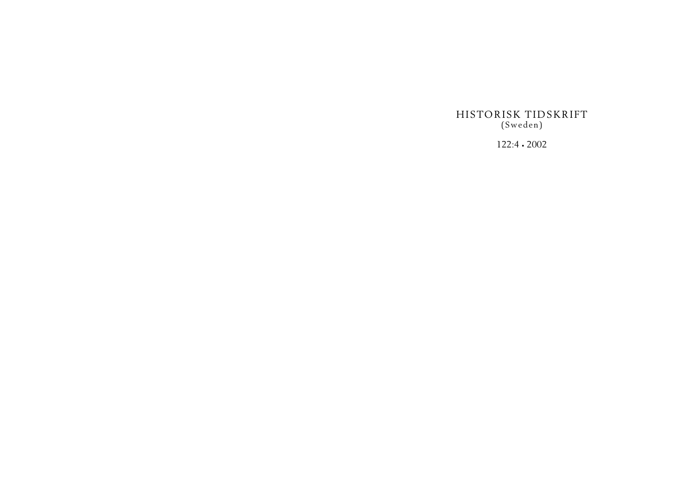HISTORISK TIDSKRIFT (Sweden)

122:4 • 2002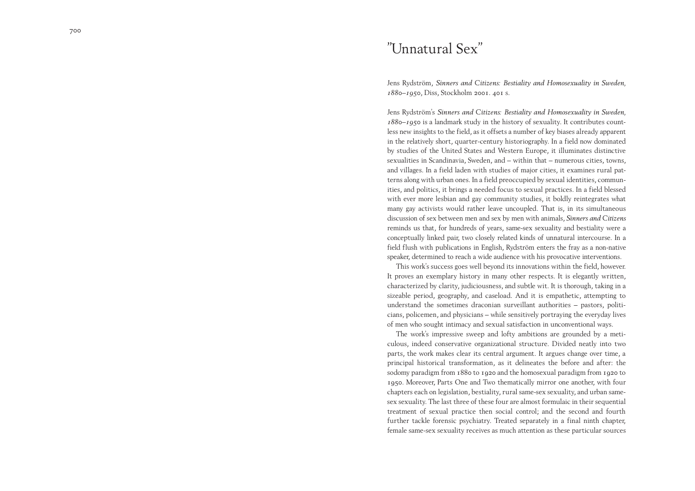# "Unnatural Sex"

Jens Rydström, *Sinners and Citizens: Bestiality and Homosexuality in Sweden, 1880–1950*, Diss, Stockholm <sup>2001</sup>. 401 s.

Jens Rydström's *Sinners and Citizens: Bestiality and Homosexuality in Sweden, 1880–<sup>1950</sup>* is a landmark study in the history of sexuality. It contributes countless new insights to the field, as it offsets a number of key biases already apparent in the relatively short, quarter-century historiography. In a field now dominated by studies of the United States and Western Europe, it illuminates distinctive sexualities in Scandinavia, Sweden, and – within that – numerous cities, towns, and villages. In a field laden with studies of major cities, it examines rural patterns along with urban ones. In a field preoccupied by sexual identities, communities, and politics, it brings a needed focus to sexual practices. In a field blessed with ever more lesbian and gay community studies, it boldly reintegrates what many gay activists would rather leave uncoupled. That is, in its simultaneous discussion of sex between men and sex by men with animals, *Sinners and Citizens* reminds us that, for hundreds of years, same-sex sexuality and bestiality were a conceptually linked pair, two closely related kinds of unnatural intercourse. In a field flush with publications in English, Rydström enters the fray as a non-native speaker, determined to reach a wide audience with his provocative interventions.

This work's success goes well beyond its innovations within the field, however. It proves an exemplary history in many other respects. It is elegantly written, characterized by clarity, judiciousness, and subtle wit. It is thorough, taking in a sizeable period, geography, and caseload. And it is empathetic, attempting to understand the sometimes draconian surveillant authorities – pastors, politicians, policemen, and physicians – while sensitively portraying the everyday lives of men who sought intimacy and sexual satisfaction in unconventional ways.

The work's impressive sweep and lofty ambitions are grounded by a meticulous, indeed conservative organizational structure. Divided neatly into two parts, the work makes clear its central argument. It argues change over time, a principal historical transformation, as it delineates the before and after: the sodomy paradigm from 1880 to 1920 and the homosexual paradigm from 1920 to <sup>1950</sup>. Moreover, Parts One and Two thematically mirror one another, with four chapters each on legislation, bestiality, rural same-sex sexuality, and urban samesex sexuality. The last three of these four are almost formulaic in their sequential treatment of sexual practice then social control; and the second and fourth further tackle forensic psychiatry. Treated separately in a final ninth chapter, female same-sex sexuality receives as much attention as these particular sources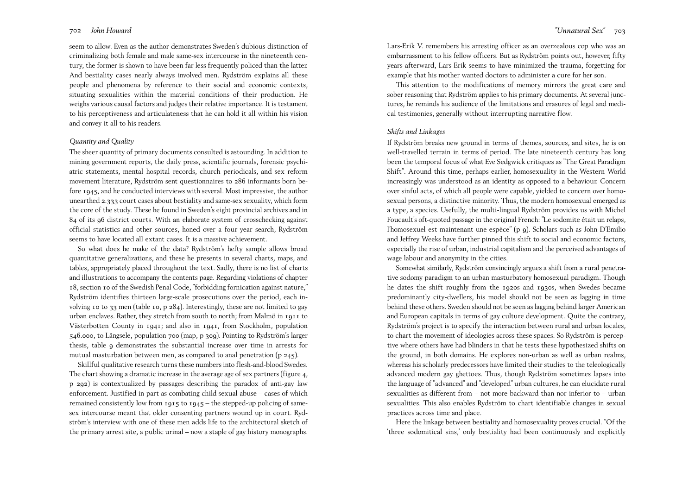seem to allow. Even as the author demonstrates Sweden's dubious distinction of criminalizing both female and male same-sex intercourse in the nineteenth century, the former is shown to have been far less frequently policed than the latter. And bestiality cases nearly always involved men. Rydström explains all these people and phenomena by reference to their social and economic contexts, situating sexualities within the material conditions of their production. He weighs various causal factors and judges their relative importance. It is testament to his perceptiveness and articulateness that he can hold it all within his vision and convey it all to his readers.

### *Quantity and Quality*

The sheer quantity of primary documents consulted is astounding. In addition to mining government reports, the daily press, scientific journals, forensic psychiatric statements, mental hospital records, church periodicals, and sex reform movement literature, Rydström sent questionnaires to 286 informants born before 1945, and he conducted interviews with several. Most impressive, the author unearthed <sup>2</sup>.<sup>333</sup> court cases about bestiality and same-sex sexuality, which form the core of the study. These he found in Sweden's eight provincial archives and in 84 of its 96 district courts. With an elaborate system of crosschecking against official statistics and other sources, honed over a four-year search, Rydström seems to have located all extant cases. It is a massive achievement.

So what does he make of the data? Rydström's hefty sample allows broad quantitative generalizations, and these he presents in several charts, maps, and tables, appropriately placed throughout the text. Sadly, there is no list of charts and illustrations to accompany the contents page. Regarding violations of chapter 18, section 10 of the Swedish Penal Code, "forbidding fornication against nature," Rydström identifies thirteen large-scale prosecutions over the period, each involving 10 to 33 men (table 10, p 284). Interestingly, these are not limited to gay urban enclaves. Rather, they stretch from south to north; from Malmö in 1911 to Västerbotten County in 1941; and also in <sup>1941</sup>, from Stockholm, population 546.000, to Längsele, population 700 (map, p 309). Pointing to Rydström's larger thesis, table 9 demonstrates the substantial increase over time in arrests for mutual masturbation between men, as compared to anal penetration (p  $245$ ).

Skillful qualitative research turns these numbers into flesh-and-blood Swedes. The chart showing a dramatic increase in the average age of sex partners (figure <sup>4</sup>, <sup>p</sup>292) is contextualized by passages describing the paradox of anti-gay law enforcement. Justified in part as combating child sexual abuse – cases of which remained consistently low from 1915 to 1945 – the stepped-up policing of samesex intercourse meant that older consenting partners wound up in court. Rydström's interview with one of these men adds life to the architectural sketch of the primary arrest site, a public urinal – now a staple of gay history monographs.

Lars-Erik V. remembers his arresting officer as an overzealous cop who was an embarrassment to his fellow officers. But as Rydström points out, however, fifty years afterward, Lars-Erik seems to have minimized the trauma, forgetting for example that his mother wanted doctors to administer a cure for her son.

This attention to the modifications of memory mirrors the great care and sober reasoning that Rydström applies to his primary documents. At several junctures, he reminds his audience of the limitations and erasures of legal and medical testimonies, generally without interrupting narrative flow.

### *Shifts and Linkages*

If Rydström breaks new ground in terms of themes, sources, and sites, he is on well-travelled terrain in terms of period. The late nineteenth century has long been the temporal focus of what Eve Sedgwick critiques as "The Great Paradigm Shift". Around this time, perhaps earlier, homosexuality in the Western World increasingly was understood as an identity as opposed to a behaviour. Concern over sinful acts, of which all people were capable, yielded to concern over homosexual persons, a distinctive minority. Thus, the modern homosexual emerged as a type, a species. Usefully, the multi-lingual Rydström provides us with Michel Foucault's oft-quoted passage in the original French: "Le sodomite était un relaps, l'homosexuel est maintenant une espèce" (p 9). Scholars such as John D'Emilio and Jeffrey Weeks have further pinned this shift to social and economic factors, especially the rise of urban, industrial capitalism and the perceived advantages of wage labour and anonymity in the cities.

Somewhat similarly, Rydström convincingly argues a shift from a rural penetrative sodomy paradigm to an urban masturbatory homosexual paradigm. Though he dates the shift roughly from the 1920s and 1930s, when Swedes became predominantly city-dwellers, his model should not be seen as lagging in time behind these others. Sweden should not be seen as lagging behind larger American and European capitals in terms of gay culture development. Quite the contrary, Rydström's project is to specify the interaction between rural and urban locales, to chart the movement of ideologies across these spaces. So Rydström is perceptive where others have had blinders in that he tests these hypothesized shifts on the ground, in both domains. He explores non-urban as well as urban realms, whereas his scholarly predecessors have limited their studies to the teleologically advanced modern gay ghettoes. Thus, though Rydström sometimes lapses into the language of "advanced" and "developed" urban cultures, he can elucidate rural sexualities as different from – not more backward than nor inferior to – urban sexualities. This also enables Rydström to chart identifiable changes in sexual practices across time and place.

Here the linkage between bestiality and homosexuality proves crucial. "Of the 'three sodomitical sins,' only bestiality had been continuously and explicitly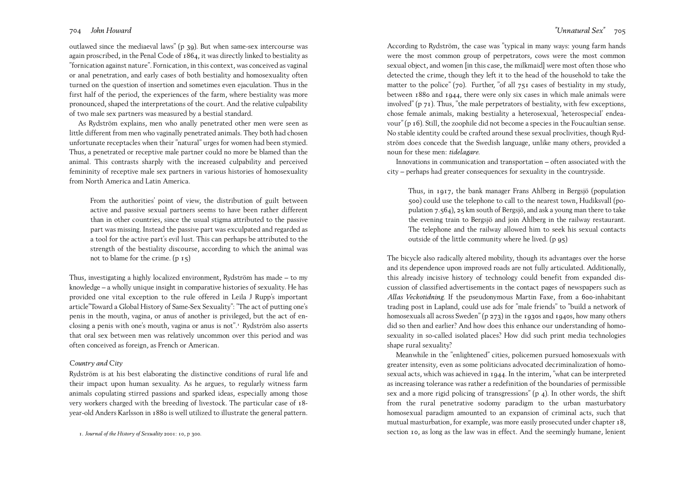outlawed since the mediaeval laws" (p 39). But when same-sex intercourse was again proscribed, in the Penal Code of 1864, it was directly linked to bestiality as "fornication against nature". Fornication, in this context, was conceived as vaginal or anal penetration, and early cases of both bestiality and homosexuality often turned on the question of insertion and sometimes even ejaculation. Thus in the first half of the period, the experiences of the farm, where bestiality was more pronounced, shaped the interpretations of the court. And the relative culpability of two male sex partners was measured by a bestial standard.

As Rydström explains, men who anally penetrated other men were seen as little different from men who vaginally penetrated animals. They both had chosen unfortunate receptacles when their "natural" urges for women had been stymied. Thus, a penetrated or receptive male partner could no more be blamed than the animal. This contrasts sharply with the increased culpability and perceived femininity of receptive male sex partners in various histories of homosexuality from North America and Latin America.

From the authorities' point of view, the distribution of guilt between active and passive sexual partners seems to have been rather different than in other countries, since the usual stigma attributed to the passive part was missing. Instead the passive part was exculpated and regarded as a tool for the active part's evil lust. This can perhaps be attributed to the strength of the bestiality discourse, according to which the animal was not to blame for the crime. (p 15)

Thus, investigating a highly localized environment, Rydström has made – to my knowledge – a wholly unique insight in comparative histories of sexuality. He has provided one vital exception to the rule offered in Leila J Rupp's important article"Toward a Global History of Same-Sex Sexuality": "The act of putting one's penis in the mouth, vagina, or anus of another is privileged, but the act of enclosing a penis with one's mouth, vagina or anus is not".<sup>1</sup> Rydström also asserts that oral sex between men was relatively uncommon over this period and was often conceived as foreign, as French or American.

### *Country and City*

Rydström is at his best elaborating the distinctive conditions of rural life and their impact upon human sexuality. As he argues, to regularly witness farm animals copulating stirred passions and sparked ideas, especially among those very workers charged with the breeding of livestock. The particular case of 18 year-old Anders Karlsson in 1880 is well utilized to illustrate the general pattern.

According to Rydström, the case was "typical in many ways: young farm hands were the most common group of perpetrators, cows were the most common sexual object, and women [in this case, the milkmaid] were most often those who detected the crime, though they left it to the head of the household to take the matter to the police" (70). Further, "of all  $75I$  cases of bestiality in my study, between 1880 and 1944, there were only six cases in which male animals were involved"  $(p_7I)$ . Thus, "the male perpetrators of bestiality, with few exceptions, chose female animals, making bestiality a heterosexual, 'heterospecial' endeavour" (p 16). Still, the zoophile did not become a species in the Foucaultian sense.

No stable identity could be crafted around these sexual proclivities, though Rydström does concede that the Swedish language, unlike many others, provided a noun for these men: *tidelagare.*

Innovations in communication and transportation – often associated with the city – perhaps had greater consequences for sexuality in the countryside.

Thus, in <sup>1917</sup>, the bank manager Frans Ahlberg in Bergsjö (population 500) could use the telephone to call to the nearest town, Hudiksvall (population 7.564), 25 km south of Bergsjö, and ask a young man there to take the evening train to Bergsjö and join Ahlberg in the railway restaurant. The telephone and the railway allowed him to seek his sexual contacts outside of the little community where he lived. (p 95)

The bicycle also radically altered mobility, though its advantages over the horse and its dependence upon improved roads are not fully articulated. Additionally, this already incisive history of technology could benefit from expanded discussion of classified advertisements in the contact pages of newspapers such as *Allas Veckotidning.* If the pseudonymous Martin Faxe, from a 600-inhabitant trading post in Lapland, could use ads for "male friends" to "build a network of homosexuals all across Sweden" (p 273) in the 1930s and 1940s, how many others did so then and earlier? And how does this enhance our understanding of homosexuality in so-called isolated places? How did such print media technologies shape rural sexuality?

Meanwhile in the "enlightened" cities, policemen pursued homosexuals with greater intensity, even as some politicians advocated decriminalization of homosexual acts, which was achieved in 1944. In the interim, "what can be interpreted as increasing tolerance was rather a redefinition of the boundaries of permissible sex and a more rigid policing of transgressions"  $(p_4)$ . In other words, the shift from the rural penetrative sodomy paradigm to the urban masturbatory homosexual paradigm amounted to an expansion of criminal acts, such that mutual masturbation, for example, was more easily prosecuted under chapter 18, <sup>1</sup>. *Journal of the History of Sexuality* <sup>2001</sup>: 10, p 300. section 10, as long as the law was in effect. And the seemingly humane, lenient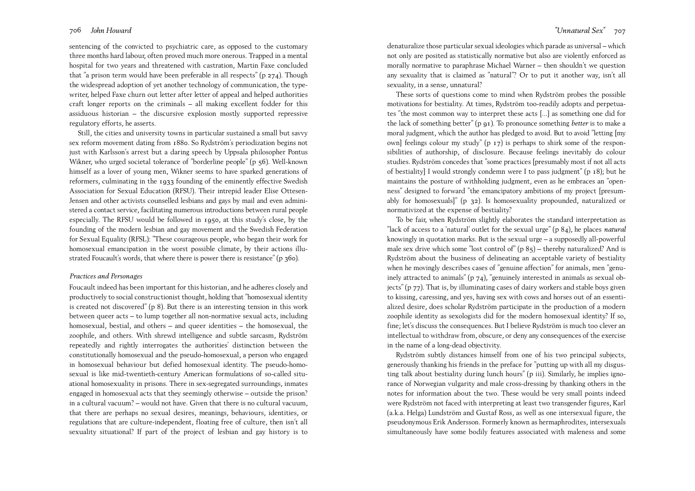sentencing of the convicted to psychiatric care, as opposed to the customary three months hard labour, often proved much more onerous. Trapped in a mental hospital for two years and threatened with castration, Martin Faxe concluded that "a prison term would have been preferable in all respects" (p 274). Though the widespread adoption of yet another technology of communication, the typewriter, helped Faxe churn out letter after letter of appeal and helped authorities craft longer reports on the criminals – all making excellent fodder for this assiduous historian – the discursive explosion mostly supported repressive regulatory efforts, he asserts.

Still, the cities and university towns in particular sustained a small but savvy sex reform movement dating from 1880. So Rydström's periodization begins not just with Karlsson's arrest but a daring speech by Uppsala philosopher Pontus Wikner, who urged societal tolerance of "borderline people" (p 56). Well-known himself as a lover of young men, Wikner seems to have sparked generations of reformers, culminating in the 1933 founding of the eminently effective Swedish Association for Sexual Education (RFSU). Their intrepid leader Elise Ottesen-Jensen and other activists counselled lesbians and gays by mail and even administered a contact service, facilitating numerous introductions between rural people especially. The RFSU would be followed in <sup>1950</sup>, at this study's close, by the founding of the modern lesbian and gay movement and the Swedish Federation for Sexual Equality (RFSL): "These courageous people, who began their work for homosexual emancipation in the worst possible climate, by their actions illustrated Foucault's words, that where there is power there is resistance" (p 360).

### *Practices and Personages*

Foucault indeed has been important for this historian, and he adheres closely and productively to social constructionist thought, holding that "homosexual identity is created not discovered" (p 8). But there is an interesting tension in this work between queer acts – to lump together all non-normative sexual acts, including homosexual, bestial, and others – and queer identities – the homosexual, the zoophile, and others. With shrewd intelligence and subtle sarcasm, Rydström repeatedly and rightly interrogates the authorities' distinction between the constitutionally homosexual and the pseudo-homosexual, a person who engaged in homosexual behaviour but defied homosexual identity. The pseudo-homosexual is like mid-twentieth-century American formulations of so-called situational homosexuality in prisons. There in sex-segregated surroundings, inmates engaged in homosexual acts that they seemingly otherwise – outside the prison? in a cultural vacuum? – would not have. Given that there is no cultural vacuum, that there are perhaps no sexual desires, meanings, behaviours, identities, or regulations that are culture-independent, floating free of culture, then isn't all sexuality situational? If part of the project of lesbian and gay history is to

denaturalize those particular sexual ideologies which parade as universal – which not only are posited as statistically normative but also are violently enforced as morally normative to paraphrase Michael Warner – then shouldn't we question any sexuality that is claimed as "natural"? Or to put it another way, isn't all sexuality, in a sense, unnatural?

These sorts of questions come to mind when Rydström probes the possible motivations for bestiality. At times, Rydström too-readily adopts and perpetuates "the most common way to interpret these acts [...] as something one did for the lack of something better" (p 91). To pronounce something *better* is to make a moral judgment, which the author has pledged to avoid. But to avoid "letting [my own] feelings colour my study" (p 17) is perhaps to shirk some of the responsibilities of authorship, of disclosure. Because feelings inevitably do colour studies. Rydström concedes that "some practices [presumably most if not all acts of bestiality] I would strongly condemn were I to pass judgment" (p 18); but he maintains the posture of withholding judgment, even as he embraces an "openness" designed to forward "the emancipatory ambitions of my project [presumably for homosexuals]" (p 32). Is homosexuality propounded, naturalized or normativized at the expense of bestiality?

To be fair, when Rydström slightly elaborates the standard interpretation as "lack of access to a 'natural' outlet for the sexual urge" (p 84), he places *natural* knowingly in quotation marks. But is the sexual urge – a supposedly all-powerful male sex drive which some "lost control of"  $(p 85)$  – thereby naturalized? And is Rydström about the business of delineating an acceptable variety of bestiality when he movingly describes cases of "genuine affection" for animals, men "genuinely attracted to animals" (p 74), "genuinely interested in animals as sexual objects" (p 77). That is, by illuminating cases of dairy workers and stable boys given to kissing, caressing, and yes, having sex with cows and horses out of an essentialized desire, does scholar Rydström participate in the production of a modern zoophile identity as sexologists did for the modern homosexual identity? If so, fine; let's discuss the consequences. But I believe Rydström is much too clever an intellectual to withdraw from, obscure, or deny any consequences of the exercise in the name of a long-dead objectivity.

Rydström subtly distances himself from one of his two principal subjects, generously thanking his friends in the preface for "putting up with all my disgusting talk about bestiality during lunch hours" (p iii). Similarly, he implies ignorance of Norwegian vulgarity and male cross-dressing by thanking others in the notes for information about the two. These would be very small points indeed were Rydström not faced with interpreting at least two transgender figures, Karl (a.k.a. Helga) Lundström and Gustaf Ross, as well as one intersexual figure, the pseudonymous Erik Andersson. Formerly known as hermaphrodites, intersexuals simultaneously have some bodily features associated with maleness and some